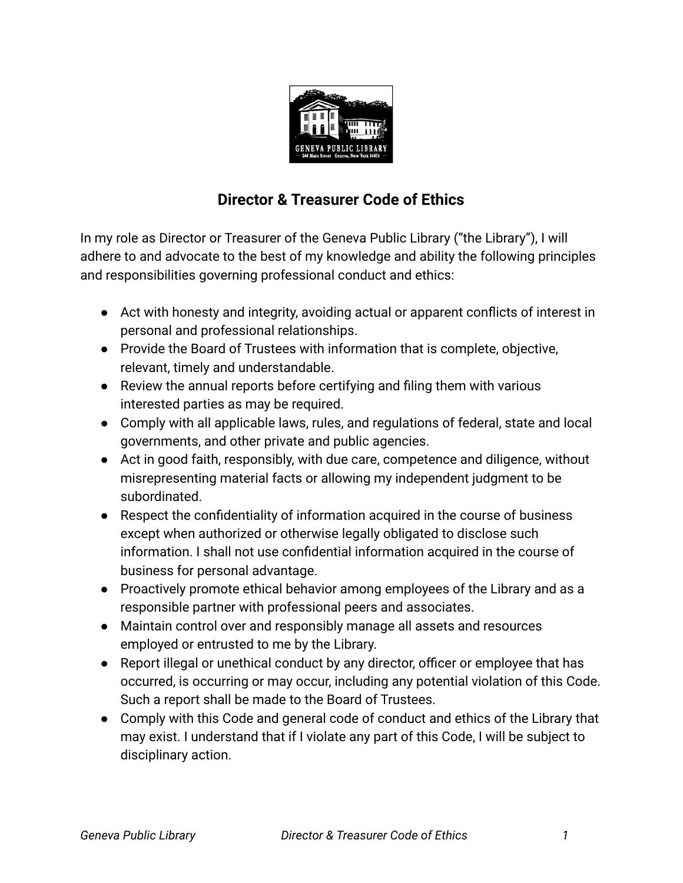

## **Director & Treasurer Code of Ethics**

In my role as Director or Treasurer of the Geneva Public Library ("the Library"), I will adhere to and advocate to the best of my knowledge and ability the following principles and responsibilities governing professional conduct and ethics:

- Act with honesty and integrity, avoiding actual or apparent conflicts of interest in personal and professional relationships.
- Provide the Board of Trustees with information that is complete, objective, relevant, timely and understandable.
- Review the annual reports before certifying and filing them with various interested parties as may be required.
- Comply with all applicable laws, rules, and regulations of federal, state and local governments, and other private and public agencies.
- Act in good faith, responsibly, with due care, competence and diligence, without misrepresenting material facts or allowing my independent judgment to be subordinated.
- Respect the confidentiality of information acquired in the course of business except when authorized or otherwise legally obligated to disclose such information. I shall not use confidential information acquired in the course of business for personal advantage.
- Proactively promote ethical behavior among employees of the Library and as a responsible partner with professional peers and associates.
- Maintain control over and responsibly manage all assets and resources employed or entrusted to me by the Library.
- Report illegal or unethical conduct by any director, officer or employee that has occurred, is occurring or may occur, including any potential violation of this Code. Such a report shall be made to the Board of Trustees.
- Comply with this Code and general code of conduct and ethics of the Library that may exist. I understand that if I violate any part of this Code, I will be subject to disciplinary action.